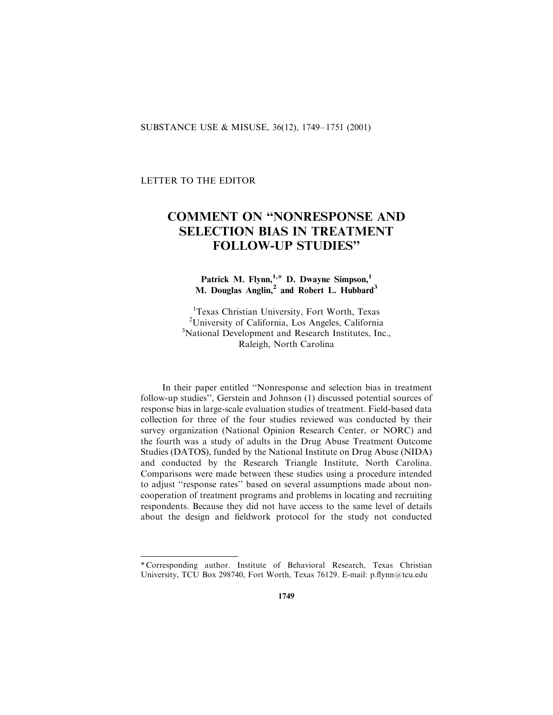### SUBSTANCE USE & MISUSE, 36(12), 1749–1751 (2001)

### LETTER TO THE EDITOR

# COMMENT ON ''NONRESPONSE AND SELECTION BIAS IN TREATMENT FOLLOW-UP STUDIES''

# Patrick M. Flynn,<sup>1,\*</sup> D. Dwayne Simpson,<sup>1</sup> M. Douglas Anglin,<sup>2</sup> and Robert L. Hubbard<sup>3</sup>

1 Texas Christian University, Fort Worth, Texas 2 University of California, Los Angeles, California <sup>3</sup>National Development and Research Institutes, Inc., Raleigh, North Carolina

In their paper entitled ''Nonresponse and selection bias in treatment follow-up studies'', Gerstein and Johnson (1) discussed potential sources of response bias in large-scale evaluation studies of treatment. Field-based data collection for three of the four studies reviewed was conducted by their survey organization (National Opinion Research Center, or NORC) and the fourth was a study of adults in the DrugAbuse Treatment Outcome Studies (DATOS), funded by the National Institute on DrugAbuse (NIDA) and conducted by the Research Triangle Institute, North Carolina. Comparisons were made between these studies usinga procedure intended to adjust ''response rates'' based on several assumptions made about noncooperation of treatment programs and problems in locating and recruiting respondents. Because they did not have access to the same level of details about the design and fieldwork protocol for the study not conducted

<sup>\*</sup> Correspondingauthor. Institute of Behavioral Research, Texas Christian University, TCU Box 298740, Fort Worth, Texas 76129. E-mail: p.flynn@tcu.edu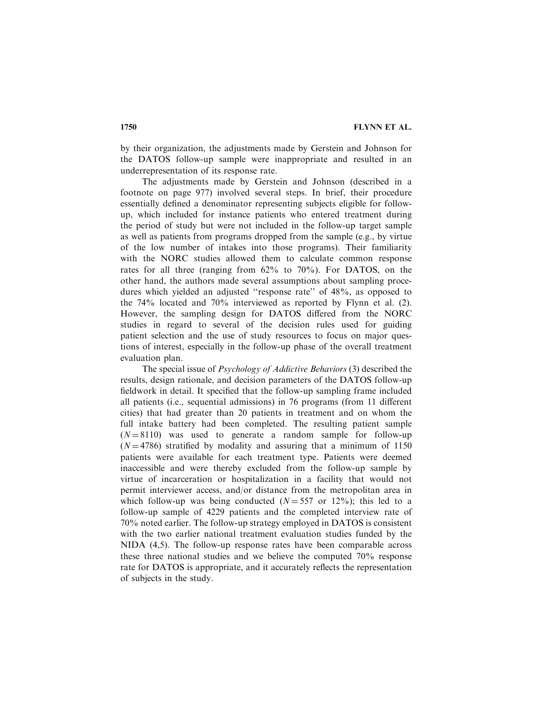by their organization, the adjustments made by Gerstein and Johnson for the DATOS follow-up sample were inappropriate and resulted in an underrepresentation of its response rate.

The adjustments made by Gerstein and Johnson (described in a footnote on page 977) involved several steps. In brief, their procedure essentially defined a denominator representing subjects eligible for followup, which included for instance patients who entered treatment during the period of study but were not included in the follow-up target sample as well as patients from programs dropped from the sample (e.g., by virtue of the low number of intakes into those programs). Their familiarity with the NORC studies allowed them to calculate common response rates for all three (ranging from 62% to 70%). For DATOS, on the other hand, the authors made several assumptions about sampling procedures which yielded an adjusted ''response rate'' of 48%, as opposed to the 74% located and 70% interviewed as reported by Flynn et al. (2). However, the sampling design for DATOS differed from the NORC studies in regard to several of the decision rules used for guiding patient selection and the use of study resources to focus on major questions of interest, especially in the follow-up phase of the overall treatment evaluation plan.

The special issue of Psychology of Addictive Behaviors (3) described the results, design rationale, and decision parameters of the DATOS follow-up fieldwork in detail. It specified that the follow-up sampling frame included all patients (i.e., sequential admissions) in 76 programs (from 11 different cities) that had greater than 20 patients in treatment and on whom the full intake battery had been completed. The resulting patient sample  $(N = 8110)$  was used to generate a random sample for follow-up  $(N = 4786)$  stratified by modality and assuring that a minimum of 1150 patients were available for each treatment type. Patients were deemed inaccessible and were thereby excluded from the follow-up sample by virtue of incarceration or hospitalization in a facility that would not permit interviewer access, and/or distance from the metropolitan area in which follow-up was being conducted  $(N = 557 \text{ or } 12\%)$ ; this led to a follow-up sample of 4229 patients and the completed interview rate of 70% noted earlier. The follow-up strategy employed in DATOS is consistent with the two earlier national treatment evaluation studies funded by the NIDA (4,5). The follow-up response rates have been comparable across these three national studies and we believe the computed 70% response rate for DATOS is appropriate, and it accurately reflects the representation of subjects in the study.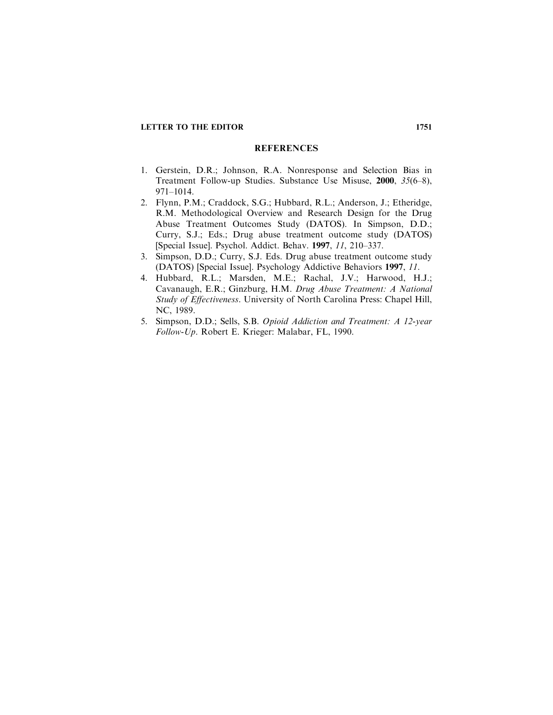#### LETTER TO THE EDITOR 1751

## REFERENCES

- 1. Gerstein, D.R.; Johnson, R.A. Nonresponse and Selection Bias in Treatment Follow-up Studies. Substance Use Misuse, 2000, 35(6–8), 971–1014.
- 2. Flynn, P.M.; Craddock, S.G.; Hubbard, R.L.; Anderson, J.; Etheridge, R.M. Methodological Overview and Research Design for the Drug Abuse Treatment Outcomes Study (DATOS). In Simpson, D.D.; Curry, S.J.; Eds.; Drug abuse treatment outcome study (DATOS) [Special Issue]. Psychol. Addict. Behav. 1997, 11, 210–337.
- 3. Simpson, D.D.; Curry, S.J. Eds. Drugabuse treatment outcome study (DATOS) [Special Issue]. Psychology Addictive Behaviors 1997, 11.
- 4. Hubbard, R.L.; Marsden, M.E.; Rachal, J.V.; Harwood, H.J.; Cavanaugh, E.R.; Ginzburg, H.M. Drug Abuse Treatment: A National Study of Effectiveness. University of North Carolina Press: Chapel Hill, NC, 1989.
- 5. Simpson, D.D.; Sells, S.B. Opioid Addiction and Treatment: A 12-year Follow-Up. Robert E. Krieger: Malabar, FL, 1990.